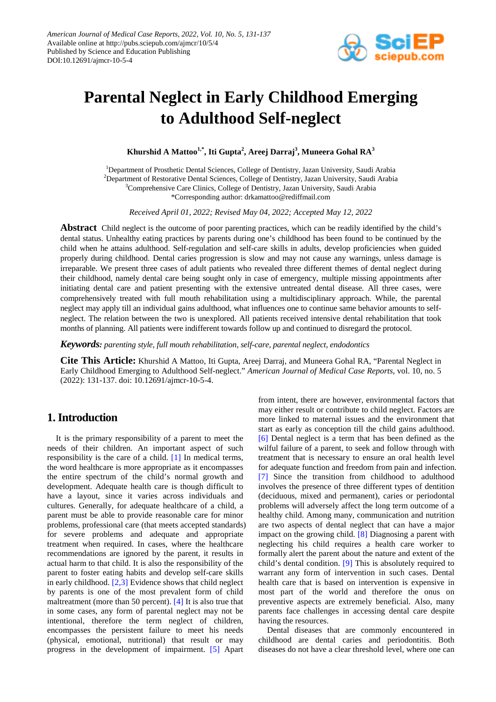

# **Parental Neglect in Early Childhood Emerging to Adulthood Self-neglect**

**Khurshid A Mattoo1,\* , Iti Gupta<sup>2</sup> , Areej Darraj<sup>3</sup> , Muneera Gohal RA<sup>3</sup>**

<sup>1</sup>Department of Prosthetic Dental Sciences, College of Dentistry, Jazan University, Saudi Arabia <sup>2</sup>Department of Restorative Dental Sciences, College of Dentistry, Jazan University, Saudi Arabia <sup>3</sup>Comprehensive Care Clinics, College of Dentistry, Jazan University, Saudi Arabia \*Corresponding author: drkamattoo@rediffmail.com

*Received April 01, 2022; Revised May 04, 2022; Accepted May 12, 2022*

**Abstract** Child neglect is the outcome of poor parenting practices, which can be readily identified by the child's dental status. Unhealthy eating practices by parents during one's childhood has been found to be continued by the child when he attains adulthood. Self-regulation and self-care skills in adults, develop proficiencies when guided properly during childhood. Dental caries progression is slow and may not cause any warnings, unless damage is irreparable. We present three cases of adult patients who revealed three different themes of dental neglect during their childhood, namely dental care being sought only in case of emergency, multiple missing appointments after initiating dental care and patient presenting with the extensive untreated dental disease. All three cases, were comprehensively treated with full mouth rehabilitation using a multidisciplinary approach. While, the parental neglect may apply till an individual gains adulthood, what influences one to continue same behavior amounts to selfneglect. The relation between the two is unexplored. All patients received intensive dental rehabilitation that took months of planning. All patients were indifferent towards follow up and continued to disregard the protocol.

*Keywords: parenting style, full mouth rehabilitation, self-care, parental neglect, endodontics*

**Cite This Article:** Khurshid A Mattoo, Iti Gupta, Areej Darraj, and Muneera Gohal RA, "Parental Neglect in Early Childhood Emerging to Adulthood Self-neglect." *American Journal of Medical Case Reports*, vol. 10, no. 5 (2022): 131-137. doi: 10.12691/ajmcr-10-5-4.

## **1. Introduction**

It is the primary responsibility of a parent to meet the needs of their children. An important aspect of such responsibility is the care of a child. [\[1\]](#page-5-0) In medical terms, the word healthcare is more appropriate as it encompasses the entire spectrum of the child's normal growth and development. Adequate health care is though difficult to have a layout, since it varies across individuals and cultures. Generally, for adequate healthcare of a child, a parent must be able to provide reasonable care for minor problems, professional care (that meets accepted standards) for severe problems and adequate and appropriate treatment when required. In cases, where the healthcare recommendations are ignored by the parent, it results in actual harm to that child. It is also the responsibility of the parent to foster eating habits and develop self-care skills in early childhood. [\[2,3\]](#page-5-1) Evidence shows that child neglect by parents is one of the most prevalent form of child maltreatment (more than 50 percent). [\[4\]](#page-5-2) It is also true that in some cases, any form of parental neglect may not be intentional, therefore the term neglect of children, encompasses the persistent failure to meet his needs (physical, emotional, nutritional) that result or may progress in the development of impairment. [\[5\]](#page-5-3) Apart

from intent, there are however, environmental factors that may either result or contribute to child neglect. Factors are more linked to maternal issues and the environment that start as early as conception till the child gains adulthood. [\[6\]](#page-5-4) Dental neglect is a term that has been defined as the wilful failure of a parent, to seek and follow through with treatment that is necessary to ensure an oral health level for adequate function and freedom from pain and infection. [\[7\]](#page-5-5) Since the transition from childhood to adulthood involves the presence of three different types of dentition (deciduous, mixed and permanent), caries or periodontal problems will adversely affect the long term outcome of a healthy child. Among many, communication and nutrition are two aspects of dental neglect that can have a major impact on the growing child. [\[8\]](#page-5-6) Diagnosing a parent with neglecting his child requires a health care worker to formally alert the parent about the nature and extent of the child's dental condition. [\[9\]](#page-5-7) This is absolutely required to warrant any form of intervention in such cases. Dental health care that is based on intervention is expensive in most part of the world and therefore the onus on preventive aspects are extremely beneficial. Also, many parents face challenges in accessing dental care despite having the resources.

Dental diseases that are commonly encountered in childhood are dental caries and periodontitis. Both diseases do not have a clear threshold level, where one can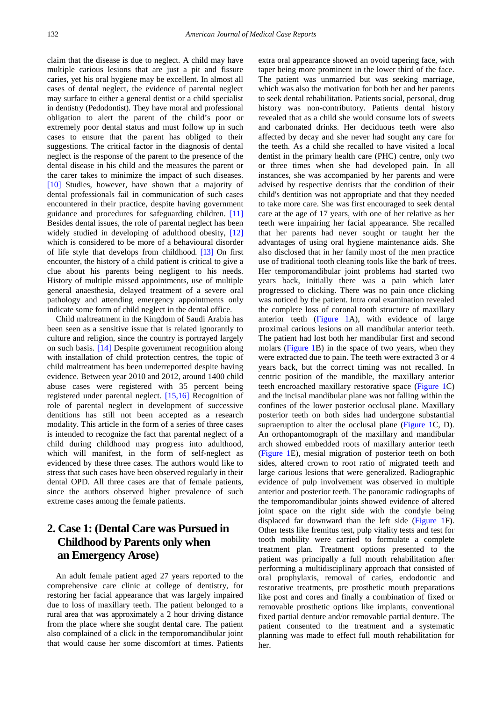claim that the disease is due to neglect. A child may have multiple carious lesions that are just a pit and fissure caries, yet his oral hygiene may be excellent. In almost all cases of dental neglect, the evidence of parental neglect may surface to either a general dentist or a child specialist in dentistry (Pedodontist). They have moral and professional obligation to alert the parent of the child's poor or extremely poor dental status and must follow up in such cases to ensure that the parent has obliged to their suggestions. The critical factor in the diagnosis of dental neglect is the response of the parent to the presence of the dental disease in his child and the measures the parent or the carer takes to minimize the impact of such diseases. [\[10\]](#page-5-8) Studies, however, have shown that a majority of dental professionals fail in communication of such cases encountered in their practice, despite having government guidance and procedures for safeguarding children. [\[11\]](#page-5-9) Besides dental issues, the role of parental neglect has been widely studied in developing of adulthood obesity, [\[12\]](#page-5-10) which is considered to be more of a behavioural disorder of life style that develops from childhood. [\[13\]](#page-5-11) On first encounter, the history of a child patient is critical to give a clue about his parents being negligent to his needs. History of multiple missed appointments, use of multiple general anaesthesia, delayed treatment of a severe oral pathology and attending emergency appointments only indicate some form of child neglect in the dental office.

Child maltreatment in the Kingdom of Saudi Arabia has been seen as a sensitive issue that is related ignorantly to culture and religion, since the country is portrayed largely on such basis. [\[14\]](#page-5-12) Despite government recognition along with installation of child protection centres, the topic of child maltreatment has been underreported despite having evidence. Between year 2010 and 2012, around 1400 child abuse cases were registered with 35 percent being registered under parental neglect. [\[15,16\]](#page-5-13) Recognition of role of parental neglect in development of successive dentitions has still not been accepted as a research modality. This article in the form of a series of three cases is intended to recognize the fact that parental neglect of a child during childhood may progress into adulthood, which will manifest, in the form of self-neglect as evidenced by these three cases. The authors would like to stress that such cases have been observed regularly in their dental OPD. All three cases are that of female patients, since the authors observed higher prevalence of such extreme cases among the female patients.

## **2. Case 1: (Dental Care was Pursued in Childhood by Parents only when an Emergency Arose)**

An adult female patient aged 27 years reported to the comprehensive care clinic at college of dentistry, for restoring her facial appearance that was largely impaired due to loss of maxillary teeth. The patient belonged to a rural area that was approximately a 2 hour driving distance from the place where she sought dental care. The patient also complained of a click in the temporomandibular joint that would cause her some discomfort at times. Patients

extra oral appearance showed an ovoid tapering face, with taper being more prominent in the lower third of the face. The patient was unmarried but was seeking marriage, which was also the motivation for both her and her parents to seek dental rehabilitation. Patients social, personal, drug history was non-contributory. Patients dental history revealed that as a child she would consume lots of sweets and carbonated drinks. Her deciduous teeth were also affected by decay and she never had sought any care for the teeth. As a child she recalled to have visited a local dentist in the primary health care (PHC) centre, only two or three times when she had developed pain. In all instances, she was accompanied by her parents and were advised by respective dentists that the condition of their child's dentition was not appropriate and that they needed to take more care. She was first encouraged to seek dental care at the age of 17 years, with one of her relative as her teeth were impairing her facial appearance. She recalled that her parents had never sought or taught her the advantages of using oral hygiene maintenance aids. She also disclosed that in her family most of the men practice use of traditional tooth cleaning tools like the bark of trees. Her temporomandibular joint problems had started two years back, initially there was a pain which later progressed to clicking. There was no pain once clicking was noticed by the patient. Intra oral examination revealed the complete loss of coronal tooth structure of maxillary anterior teeth [\(Figure 1A](#page-2-0)), with evidence of large proximal carious lesions on all mandibular anterior teeth. The patient had lost both her mandibular first and second molars [\(Figure 1B](#page-2-0)) in the space of two years, when they were extracted due to pain. The teeth were extracted 3 or 4 years back, but the correct timing was not recalled. In centric position of the mandible, the maxillary anterior teeth encroached maxillary restorative space [\(Figure 1C](#page-2-0)) and the incisal mandibular plane was not falling within the confines of the lower posterior occlusal plane. Maxillary posterior teeth on both sides had undergone substantial supraeruption to alter the occlusal plane [\(Figure 1C](#page-2-0), D). An orthopantomograph of the maxillary and mandibular arch showed embedded roots of maxillary anterior teeth [\(Figure 1E](#page-2-0)), mesial migration of posterior teeth on both sides, altered crown to root ratio of migrated teeth and large carious lesions that were generalized. Radiographic evidence of pulp involvement was observed in multiple anterior and posterior teeth. The panoramic radiographs of the temporomandibular joints showed evidence of altered joint space on the right side with the condyle being displaced far downward than the left side [\(Figure 1F](#page-2-0)). Other tests like fremitus test, pulp vitality tests and test for tooth mobility were carried to formulate a complete treatment plan. Treatment options presented to the patient was principally a full mouth rehabilitation after performing a multidisciplinary approach that consisted of oral prophylaxis, removal of caries, endodontic and restorative treatments, pre prosthetic mouth preparations like post and cores and finally a combination of fixed or removable prosthetic options like implants, conventional fixed partial denture and/or removable partial denture. The patient consented to the treatment and a systematic planning was made to effect full mouth rehabilitation for her.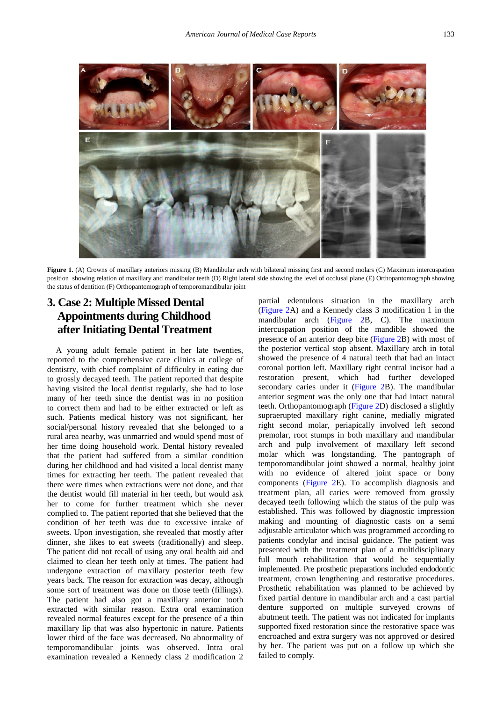<span id="page-2-0"></span>

**Figure 1.** (A) Crowns of maxillary anteriors missing (B) Mandibular arch with bilateral missing first and second molars (C) Maximum intercuspation position showing relation of maxillary and mandibular teeth (D) Right lateral side showing the level of occlusal plane (E) Orthopantomograph showing the status of dentition (F) Orthopantomograph of temporomandibular joint

## **3. Case 2: Multiple Missed Dental Appointments during Childhood after Initiating Dental Treatment**

A young adult female patient in her late twenties, reported to the comprehensive care clinics at college of dentistry, with chief complaint of difficulty in eating due to grossly decayed teeth. The patient reported that despite having visited the local dentist regularly, she had to lose many of her teeth since the dentist was in no position to correct them and had to be either extracted or left as such. Patients medical history was not significant, her social/personal history revealed that she belonged to a rural area nearby, was unmarried and would spend most of her time doing household work. Dental history revealed that the patient had suffered from a similar condition during her childhood and had visited a local dentist many times for extracting her teeth. The patient revealed that there were times when extractions were not done, and that the dentist would fill material in her teeth, but would ask her to come for further treatment which she never complied to. The patient reported that she believed that the condition of her teeth was due to excessive intake of sweets. Upon investigation, she revealed that mostly after dinner, she likes to eat sweets (traditionally) and sleep. The patient did not recall of using any oral health aid and claimed to clean her teeth only at times. The patient had undergone extraction of maxillary posterior teeth few years back. The reason for extraction was decay, although some sort of treatment was done on those teeth (fillings). The patient had also got a maxillary anterior tooth extracted with similar reason. Extra oral examination revealed normal features except for the presence of a thin maxillary lip that was also hypertonic in nature. Patients lower third of the face was decreased. No abnormality of temporomandibular joints was observed. Intra oral examination revealed a Kennedy class 2 modification 2

partial edentulous situation in the maxillary arch [\(Figure 2A](#page-3-0)) and a Kennedy class 3 modification 1 in the mandibular arch [\(Figure 2B](#page-3-0), C). The maximum intercuspation position of the mandible showed the presence of an anterior deep bite [\(Figure 2B](#page-3-0)) with most of the posterior vertical stop absent. Maxillary arch in total showed the presence of 4 natural teeth that had an intact coronal portion left. Maxillary right central incisor had a restoration present, which had further developed secondary caries under it [\(Figure 2B](#page-3-0)). The mandibular anterior segment was the only one that had intact natural teeth. Orthopantomograph [\(Figure 2D](#page-3-0)) disclosed a slightly supraerupted maxillary right canine, medially migrated right second molar, periapically involved left second premolar, root stumps in both maxillary and mandibular arch and pulp involvement of maxillary left second molar which was longstanding. The pantograph of temporomandibular joint showed a normal, healthy joint with no evidence of altered joint space or bony components [\(Figure 2E](#page-3-0)). To accomplish diagnosis and treatment plan, all caries were removed from grossly decayed teeth following which the status of the pulp was established. This was followed by diagnostic impression making and mounting of diagnostic casts on a semi adjustable articulator which was programmed according to patients condylar and incisal guidance. The patient was presented with the treatment plan of a multidisciplinary full mouth rehabilitation that would be sequentially implemented. Pre prosthetic preparations included endodontic treatment, crown lengthening and restorative procedures. Prosthetic rehabilitation was planned to be achieved by fixed partial denture in mandibular arch and a cast partial denture supported on multiple surveyed crowns of abutment teeth. The patient was not indicated for implants supported fixed restoration since the restorative space was encroached and extra surgery was not approved or desired by her. The patient was put on a follow up which she failed to comply.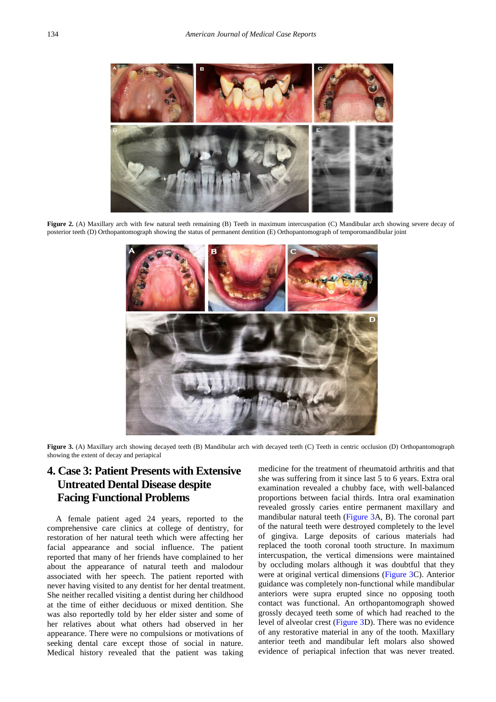<span id="page-3-0"></span>

**Figure 2.** (A) Maxillary arch with few natural teeth remaining (B) Teeth in maximum intercuspation (C) Mandibular arch showing severe decay of posterior teeth (D) Orthopantomograph showing the status of permanent dentition (E) Orthopantomograph of temporomandibular joint

<span id="page-3-1"></span>

**Figure 3.** (A) Maxillary arch showing decayed teeth (B) Mandibular arch with decayed teeth (C) Teeth in centric occlusion (D) Orthopantomograph showing the extent of decay and periapical

## **4. Case 3: Patient Presents with Extensive Untreated Dental Disease despite Facing Functional Problems**

A female patient aged 24 years, reported to the comprehensive care clinics at college of dentistry, for restoration of her natural teeth which were affecting her facial appearance and social influence. The patient reported that many of her friends have complained to her about the appearance of natural teeth and malodour associated with her speech. The patient reported with never having visited to any dentist for her dental treatment. She neither recalled visiting a dentist during her childhood at the time of either deciduous or mixed dentition. She was also reportedly told by her elder sister and some of her relatives about what others had observed in her appearance. There were no compulsions or motivations of seeking dental care except those of social in nature. Medical history revealed that the patient was taking medicine for the treatment of rheumatoid arthritis and that she was suffering from it since last 5 to 6 years. Extra oral examination revealed a chubby face, with well-balanced proportions between facial thirds. Intra oral examination revealed grossly caries entire permanent maxillary and mandibular natural teeth [\(Figure 3A](#page-3-1), B). The coronal part of the natural teeth were destroyed completely to the level of gingiva. Large deposits of carious materials had replaced the tooth coronal tooth structure. In maximum intercuspation, the vertical dimensions were maintained by occluding molars although it was doubtful that they were at original vertical dimensions [\(Figure 3C](#page-3-1)). Anterior guidance was completely non-functional while mandibular anteriors were supra erupted since no opposing tooth contact was functional. An orthopantomograph showed grossly decayed teeth some of which had reached to the level of alveolar crest [\(Figure 3D](#page-3-1)). There was no evidence of any restorative material in any of the tooth. Maxillary anterior teeth and mandibular left molars also showed evidence of periapical infection that was never treated.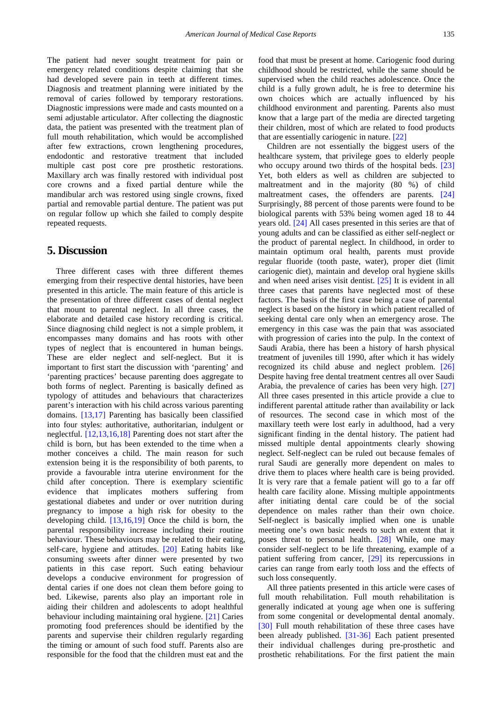The patient had never sought treatment for pain or emergency related conditions despite claiming that she had developed severe pain in teeth at different times. Diagnosis and treatment planning were initiated by the removal of caries followed by temporary restorations. Diagnostic impressions were made and casts mounted on a semi adjustable articulator. After collecting the diagnostic data, the patient was presented with the treatment plan of full mouth rehabilitation, which would be accomplished after few extractions, crown lengthening procedures, endodontic and restorative treatment that included multiple cast post core pre prosthetic restorations. Maxillary arch was finally restored with individual post core crowns and a fixed partial denture while the mandibular arch was restored using single crowns, fixed partial and removable partial denture. The patient was put on regular follow up which she failed to comply despite repeated requests.

#### **5. Discussion**

Three different cases with three different themes emerging from their respective dental histories, have been presented in this article. The main feature of this article is the presentation of three different cases of dental neglect that mount to parental neglect. In all three cases, the elaborate and detailed case history recording is critical. Since diagnosing child neglect is not a simple problem, it encompasses many domains and has roots with other types of neglect that is encountered in human beings. These are elder neglect and self-neglect. But it is important to first start the discussion with 'parenting' and 'parenting practices' because parenting does aggregate to both forms of neglect. Parenting is basically defined as typology of attitudes and behaviours that characterizes parent's interaction with his child across various parenting domains. [\[13,17\]](#page-5-11) Parenting has basically been classified into four styles: authoritative, authoritarian, indulgent or neglectful. [\[12,13,16,18\]](#page-5-10) Parenting does not start after the child is born, but has been extended to the time when a mother conceives a child. The main reason for such extension being it is the responsibility of both parents, to provide a favourable intra uterine environment for the child after conception. There is exemplary scientific evidence that implicates mothers suffering from gestational diabetes and under or over nutrition during pregnancy to impose a high risk for obesity to the developing child. [\[13,16,19\]](#page-5-11) Once the child is born, the parental responsibility increase including their routine behaviour. These behaviours may be related to their eating, self-care, hygiene and attitudes. [\[20\]](#page-5-14) Eating habits like consuming sweets after dinner were presented by two patients in this case report. Such eating behaviour develops a conducive environment for progression of dental caries if one does not clean them before going to bed. Likewise, parents also play an important role in aiding their children and adolescents to adopt healthful behaviour including maintaining oral hygiene. [\[21\]](#page-5-15) Caries promoting food preferences should be identified by the parents and supervise their children regularly regarding the timing or amount of such food stuff. Parents also are responsible for the food that the children must eat and the

food that must be present at home. Cariogenic food during childhood should be restricted, while the same should be supervised when the child reaches adolescence. Once the child is a fully grown adult, he is free to determine his own choices which are actually influenced by his childhood environment and parenting. Parents also must know that a large part of the media are directed targeting their children, most of which are related to food products that are essentially cariogenic in nature. [\[22\]](#page-5-16)

Children are not essentially the biggest users of the healthcare system, that privilege goes to elderly people who occupy around two thirds of the hospital beds. [\[23\]](#page-5-17) Yet, both elders as well as children are subjected to maltreatment and in the majority (80 %) of child maltreatment cases, the offenders are parents. [\[24\]](#page-5-18) Surprisingly, 88 percent of those parents were found to be biological parents with 53% being women aged 18 to 44 years old. [\[24\]](#page-5-18) All cases presented in this series are that of young adults and can be classified as either self-neglect or the product of parental neglect. In childhood, in order to maintain optimum oral health, parents must provide regular fluoride (tooth paste, water), proper diet (limit cariogenic diet), maintain and develop oral hygiene skills and when need arises visit dentist. [\[25\]](#page-5-19) It is evident in all three cases that parents have neglected most of these factors. The basis of the first case being a case of parental neglect is based on the history in which patient recalled of seeking dental care only when an emergency arose. The emergency in this case was the pain that was associated with progression of caries into the pulp. In the context of Saudi Arabia, there has been a history of harsh physical treatment of juveniles till 1990, after which it has widely recognized its child abuse and neglect problem. [\[26\]](#page-5-20) Despite having free dental treatment centres all over Saudi Arabia, the prevalence of caries has been very high. [\[27\]](#page-5-21) All three cases presented in this article provide a clue to indifferent parental attitude rather than availability or lack of resources. The second case in which most of the maxillary teeth were lost early in adulthood, had a very significant finding in the dental history. The patient had missed multiple dental appointments clearly showing neglect. Self-neglect can be ruled out because females of rural Saudi are generally more dependent on males to drive them to places where health care is being provided. It is very rare that a female patient will go to a far off health care facility alone. Missing multiple appointments after initiating dental care could be of the social dependence on males rather than their own choice. Self-neglect is basically implied when one is unable meeting one's own basic needs to such an extent that it poses threat to personal health. [\[28\]](#page-5-22) While, one may consider self-neglect to be life threatening, example of a patient suffering from cancer, [\[29\]](#page-5-23) its repercussions in caries can range from early tooth loss and the effects of such loss consequently.

All three patients presented in this article were cases of full mouth rehabilitation. Full mouth rehabilitation is generally indicated at young age when one is suffering from some congenital or developmental dental anomaly. [\[30\]](#page-5-24) Full mouth rehabilitation of these three cases have been already published. [\[31-36\]](#page-6-0) Each patient presented their individual challenges during pre-prosthetic and prosthetic rehabilitations. For the first patient the main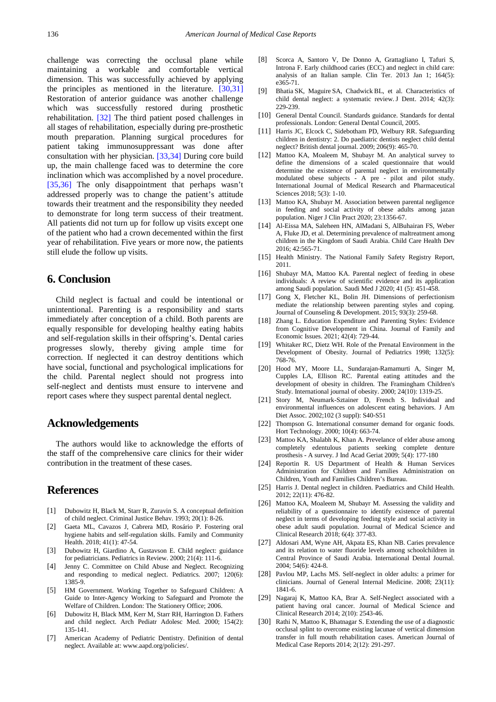challenge was correcting the occlusal plane while maintaining a workable and comfortable vertical dimension. This was successfully achieved by applying the principles as mentioned in the literature. [\[30,31\]](#page-5-24) Restoration of anterior guidance was another challenge which was successfully restored during prosthetic rehabilitation. [\[32\]](#page-6-1) The third patient posed challenges in all stages of rehabilitation, especially during pre-prosthetic mouth preparation. Planning surgical procedures for patient taking immunosuppressant was done after consultation with her physician. [\[33,34\]](#page-6-2) During core build up, the main challenge faced was to determine the core inclination which was accomplished by a novel procedure. [\[35,36\]](#page-6-3) The only disappointment that perhaps wasn't addressed properly was to change the patient's attitude towards their treatment and the responsibility they needed to demonstrate for long term success of their treatment. All patients did not turn up for follow up visits except one of the patient who had a crown decemented within the first year of rehabilitation. Five years or more now, the patients still elude the follow up visits.

### **6. Conclusion**

Child neglect is factual and could be intentional or unintentional. Parenting is a responsibility and starts immediately after conception of a child. Both parents are equally responsible for developing healthy eating habits and self-regulation skills in their offspring's. Dental caries progresses slowly, thereby giving ample time for correction. If neglected it can destroy dentitions which have social, functional and psychological implications for the child. Parental neglect should not progress into self-neglect and dentists must ensure to intervene and report cases where they suspect parental dental neglect.

### **Acknowledgements**

The authors would like to acknowledge the efforts of the staff of the comprehensive care clinics for their wider contribution in the treatment of these cases.

### **References**

- <span id="page-5-0"></span>[1] Dubowitz H, Black M, Starr R, Zuravin S. A conceptual definition of child neglect. Criminal Justice Behav. 1993; 20(1): 8-26.
- <span id="page-5-1"></span>[2] Gaeta ML, Cavazos J, Cabrera MD, Rosário P. Fostering oral hygiene habits and self-regulation skills. Family and Community Health. 2018; 41(1): 47-54.
- [3] Dubowitz H, Giardino A, Gustavson E. Child neglect: guidance for pediatricians. Pediatrics in Review. 2000; 21(4): 111-6.
- <span id="page-5-2"></span>[4] Jenny C. Committee on Child Abuse and Neglect. Recognizing and responding to medical neglect. Pediatrics. 2007; 120(6): 1385-9.
- <span id="page-5-3"></span>[5] HM Government. Working Together to Safeguard Children: A Guide to Inter-Agency Working to Safeguard and Promote the Welfare of Children. London: The Stationery Office; 2006.
- <span id="page-5-4"></span>[6] Dubowitz H, Black MM, Kerr M, Starr RH, Harrington D. Fathers and child neglect. Arch Pediatr Adolesc Med. 2000; 154(2): 135-141.
- <span id="page-5-5"></span>[7] American Academy of Pediatric Dentistry. Definition of dental neglect. Available at: www.aapd.org/policies/.
- <span id="page-5-6"></span>[8] Scorca A, Santoro V, De Donno A, Grattagliano I, Tafuri S, Introna F. Early childhood caries (ECC) and neglect in child care: analysis of an Italian sample. Clin Ter. 2013 Jan 1; 164(5): e365-71.
- <span id="page-5-7"></span>[9] Bhatia SK, Maguire SA, Chadwick BL, et al. Characteristics of child dental neglect: a systematic review. J Dent. 2014; 42(3): 229-239.
- <span id="page-5-8"></span>[10] General Dental Council. Standards guidance. Standards for dental professionals. London: General Dental Council, 2005.
- <span id="page-5-9"></span>[11] Harris JC, Elcock C, Sidebotham PD, Welbury RR. Safeguarding children in dentistry: 2. Do paediatric dentists neglect child dental neglect? British dental journal. 2009; 206(9): 465-70.
- <span id="page-5-10"></span>[12] Mattoo KA, Moaleem M, Shubayr M. An analytical survey to define the dimensions of a scaled questionnaire that would determine the existence of parental neglect in environmentally modulated obese subjects - A pre - pilot and pilot study. International Journal of Medical Research and Pharmaceutical Sciences 2018; 5(3): 1-10.
- <span id="page-5-11"></span>[13] Mattoo KA, Shubayr M. Association between parental negligence in feeding and social activity of obese adults among jazan population. Niger J Clin Pract 2020; 23:1356-67.
- <span id="page-5-12"></span>[14] Al-Eissa MA, Saleheen HN, AlMadani S, AlBuhairan FS, Weber A, Fluke JD, et al. Determining prevalence of maltreatment among children in the Kingdom of Saudi Arabia. Child Care Health Dev 2016; 42:565-71.
- <span id="page-5-13"></span>[15] Health Ministry. The National Family Safety Registry Report, 2011.
- [16] Shubayr MA, Mattoo KA. Parental neglect of feeding in obese individuals: A review of scientific evidence and its application among Saudi population. Saudi Med J 2020; 41 (5): 451-458.
- [17] Gong X, Fletcher KL, Bolin JH. Dimensions of perfectionism mediate the relationship between parenting styles and coping. Journal of Counseling & Development. 2015; 93(3): 259-68.
- [18] Zhang L. Education Expenditure and Parenting Styles: Evidence from Cognitive Development in China. Journal of Family and Economic Issues. 2021; 42(4): 729-44.
- [19] Whitaker RC, Dietz WH. Role of the Prenatal Environment in the Development of Obesity. Journal of Pediatrics 1998; 132(5): 768-76.
- <span id="page-5-14"></span>[20] Hood MY, Moore LL, Sundarajan-Ramamurti A, Singer M, Cupples LA, Ellison RC. Parental eating attitudes and the development of obesity in children. The Framingham Children's Study. International journal of obesity. 2000; 24(10): 1319-25.
- <span id="page-5-15"></span>[21] Story M, Neumark-Sztainer D, French S. Individual and environmental influences on adolescent eating behaviors. J Am Diet Assoc. 2002;102 (3 suppl): S40-S51
- <span id="page-5-16"></span>[22] Thompson G. International consumer demand for organic foods. Hort Technology. 2000; 10(4): 663-74.
- <span id="page-5-17"></span>[23] Mattoo KA, Shalabh K, Khan A. Prevelance of elder abuse among completely edentulous patients seeking complete denture prosthesis - A survey. J Ind Acad Geriat 2009; 5(4): 177-180
- <span id="page-5-18"></span>[24] Reportin R. US Department of Health & Human Services Administration for Children and Families Administration on Children, Youth and Families Children's Bureau.
- <span id="page-5-19"></span>[25] Harris J. Dental neglect in children. Paediatrics and Child Health. 2012; 22(11): 476-82.
- <span id="page-5-20"></span>[26] Mattoo KA, Moaleem M, Shubayr M, Assessing the validity and reliability of a questionnaire to identify existence of parental neglect in terms of developing feeding style and social activity in obese adult saudi population. Journal of Medical Science and Clinical Research 2018; 6(4): 377-83.
- <span id="page-5-21"></span>[27] Aldosari AM, Wyne AH, Akpata ES, Khan NB. Caries prevalence and its relation to water fluoride levels among schoolchildren in Central Province of Saudi Arabia. International Dental Journal. 2004; 54(6): 424-8.
- <span id="page-5-22"></span>[28] Pavlou MP, Lachs MS, Self-neglect in older adults: a primer for clinicians. Journal of General Internal Medicine. 2008; 23(11): 1841-6.
- <span id="page-5-23"></span>[29] Nagaraj K, Mattoo KA, Brar A. Self-Neglect associated with a patient having oral cancer. Journal of Medical Science and Clinical Research 2014; 2(10): 2543-46.
- <span id="page-5-24"></span>[30] Rathi N, Mattoo K, Bhatnagar S. Extending the use of a diagnostic occlusal splint to overcome existing lacunae of vertical dimension transfer in full mouth rehabilitation cases. American Journal of Medical Case Reports 2014; 2(12): 291-297.